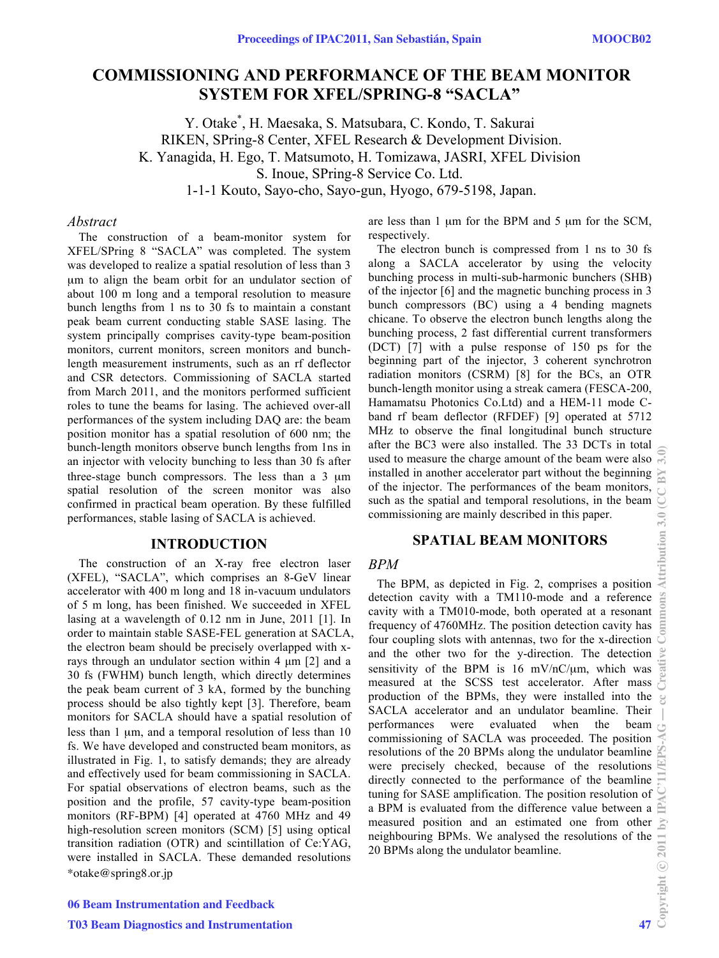# **COMMISSIONING AND PERFORMANCE OF THE BEAM MONITOR SYSTEM FOR XFEL/SPRING-8 "SACLA"**

Y. Otake\* , H. Maesaka, S. Matsubara, C. Kondo, T. Sakurai RIKEN, SPring-8 Center, XFEL Research & Development Division. K. Yanagida, H. Ego, T. Matsumoto, H. Tomizawa, JASRI, XFEL Division S. Inoue, SPring-8 Service Co. Ltd. 1-1-1 Kouto, Sayo-cho, Sayo-gun, Hyogo, 679-5198, Japan.

### *Abstract*

The construction of a beam-monitor system for XFEL/SPring 8 "SACLA" was completed. The system was developed to realize a spatial resolution of less than 3 μm to align the beam orbit for an undulator section of about 100 m long and a temporal resolution to measure bunch lengths from 1 ns to 30 fs to maintain a constant peak beam current conducting stable SASE lasing. The system principally comprises cavity-type beam-position monitors, current monitors, screen monitors and bunchlength measurement instruments, such as an rf deflector and CSR detectors. Commissioning of SACLA started from March 2011, and the monitors performed sufficient roles to tune the beams for lasing. The achieved over-all performances of the system including DAQ are: the beam position monitor has a spatial resolution of 600 nm; the bunch-length monitors observe bunch lengths from 1ns in an injector with velocity bunching to less than 30 fs after three-stage bunch compressors. The less than a 3 μm spatial resolution of the screen monitor was also confirmed in practical beam operation. By these fulfilled performances, stable lasing of SACLA is achieved.

#### **INTRODUCTION**

\*otake@spring8.or.jp The construction of an X-ray free electron laser (XFEL), "SACLA", which comprises an 8-GeV linear accelerator with 400 m long and 18 in-vacuum undulators of 5 m long, has been finished. We succeeded in XFEL lasing at a wavelength of 0.12 nm in June, 2011 [1]. In order to maintain stable SASE-FEL generation at SACLA, the electron beam should be precisely overlapped with xrays through an undulator section within 4 μm [2] and a 30 fs (FWHM) bunch length, which directly determines the peak beam current of 3 kA, formed by the bunching process should be also tightly kept [3]. Therefore, beam monitors for SACLA should have a spatial resolution of less than 1 μm, and a temporal resolution of less than 10 fs. We have developed and constructed beam monitors, as illustrated in Fig. 1, to satisfy demands; they are already and effectively used for beam commissioning in SACLA. For spatial observations of electron beams, such as the position and the profile, 57 cavity-type beam-position monitors (RF-BPM) [4] operated at 4760 MHz and 49 high-resolution screen monitors (SCM) [5] using optical transition radiation (OTR) and scintillation of Ce:YAG, were installed in SACLA. These demanded resolutions

are less than 1 μm for the BPM and 5 μm for the SCM, respectively.

The electron bunch is compressed from 1 ns to 30 fs along a SACLA accelerator by using the velocity bunching process in multi-sub-harmonic bunchers (SHB) of the injector [6] and the magnetic bunching process in 3 bunch compressors (BC) using a 4 bending magnets chicane. To observe the electron bunch lengths along the bunching process, 2 fast differential current transformers (DCT) [7] with a pulse response of 150 ps for the beginning part of the injector, 3 coherent synchrotron radiation monitors (CSRM) [8] for the BCs, an OTR bunch-length monitor using a streak camera (FESCA-200, Hamamatsu Photonics Co.Ltd) and a HEM-11 mode Cband rf beam deflector (RFDEF) [9] operated at 5712 MHz to observe the final longitudinal bunch structure after the BC3 were also installed. The 33 DCTs in total used to measure the charge amount of the beam were also installed in another accelerator part without the beginning of the injector. The performances of the beam monitors, such as the spatial and temporal resolutions, in the beam commissioning are mainly described in this paper.

## **SPATIAL BEAM MONITORS**

#### *BPM*

The BPM, as depicted in Fig. 2, comprises a position detection cavity with a TM110-mode and a reference cavity with a TM010-mode, both operated at a resonant frequency of 4760MHz. The position detection cavity has four coupling slots with antennas, two for the x-direction and the other two for the y-direction. The detection sensitivity of the BPM is 16 mV/nC/μm, which was measured at the SCSS test accelerator. After mass production of the BPMs, they were installed into the SACLA accelerator and an undulator beamline. Their performances were evaluated when the beam commissioning of SACLA was proceeded. The position resolutions of the 20 BPMs along the undulator beamline were precisely checked, because of the resolutions directly connected to the performance of the beamline tuning for SASE amplification. The position resolution of a BPM is evaluated from the difference value between a measured position and an estimated one from other neighbouring BPMs. We analysed the resolutions of the  $\frac{1}{20}$ <br>20 BPMs along the undulator beamline. 20 BPMs along the undulator beamline.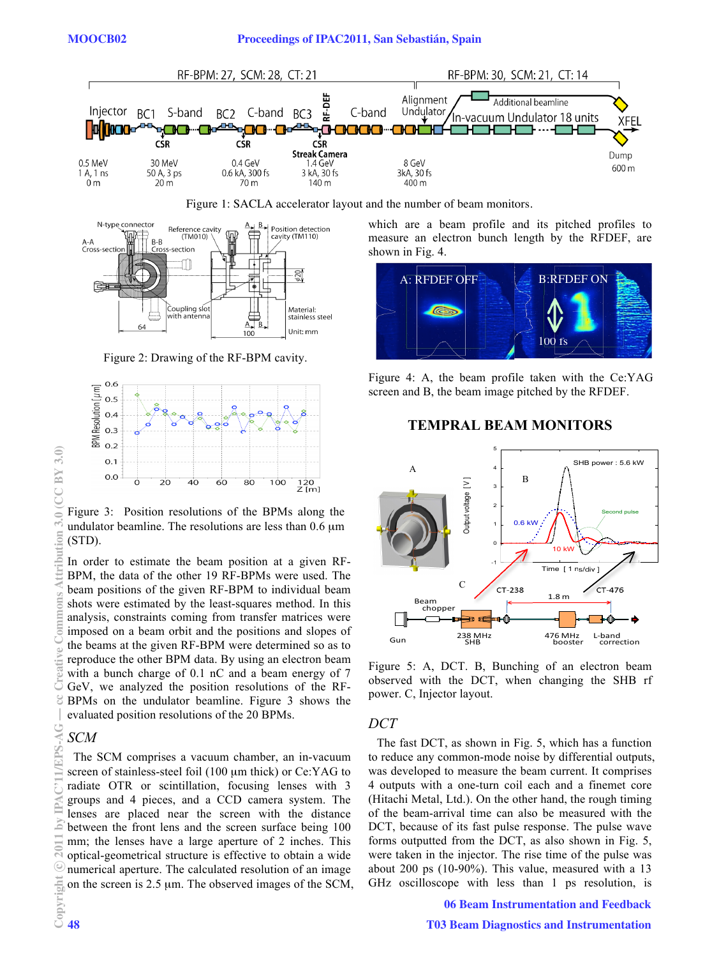

Figure 1: SACLA accelerator layout and the number of beam monitors.



Figure 2: Drawing of the RF-BPM cavity.



Figure 3: Position resolutions of the BPMs along the undulator beamline. The resolutions are less than 0.6 μm (STD).

In order to estimate the beam position at a given RF-BPM, the data of the other 19 RF-BPMs were used. The beam positions of the given RF-BPM to individual beam shots were estimated by the least-squares method. In this analysis, constraints coming from transfer matrices were imposed on a beam orbit and the positions and slopes of the beams at the given RF-BPM were determined so as to reproduce the other BPM data. By using an electron beam with a bunch charge of 0.1 nC and a beam energy of 7 GeV, we analyzed the position resolutions of the RF-BPMs on the undulator beamline. Figure 3 shows the evaluated position resolutions of the 20 BPMs.

## *SCM*

The SCM comprises a vacuum chamber, an in-vacuum screen of stainless-steel foil (100 μm thick) or Ce:YAG to radiate OTR or scintillation, focusing lenses with 3 groups and 4 pieces, and a CCD camera system. The lenses are placed near the screen with the distance between the front lens and the screen surface being 100 mm; the lenses have a large aperture of 2 inches. This optical-geometrical structure is effective to obtain a wide numerical aperture. The calculated resolution of an image on the screen is 2.5 μm. The observed images of the SCM, which are a beam profile and its pitched profiles to measure an electron bunch length by the RFDEF, are shown in Fig. 4.



Figure 4: A, the beam profile taken with the Ce:YAG screen and B, the beam image pitched by the RFDEF.

## **TEMPRAL BEAM MONITORS**



Figure 5: A, DCT. B, Bunching of an electron beam observed with the DCT, when changing the SHB rf power. C, Injector layout.

### *DCT*

The fast DCT, as shown in Fig. 5, which has a function to reduce any common-mode noise by differential outputs, was developed to measure the beam current. It comprises 4 outputs with a one-turn coil each and a finemet core (Hitachi Metal, Ltd.). On the other hand, the rough timing of the beam-arrival time can also be measured with the DCT, because of its fast pulse response. The pulse wave forms outputted from the DCT, as also shown in Fig. 5, were taken in the injector. The rise time of the pulse was about 200 ps (10-90%). This value, measured with a 13 GHz oscilloscope with less than 1 ps resolution, is

06 Beam Instrumentation and Feedback